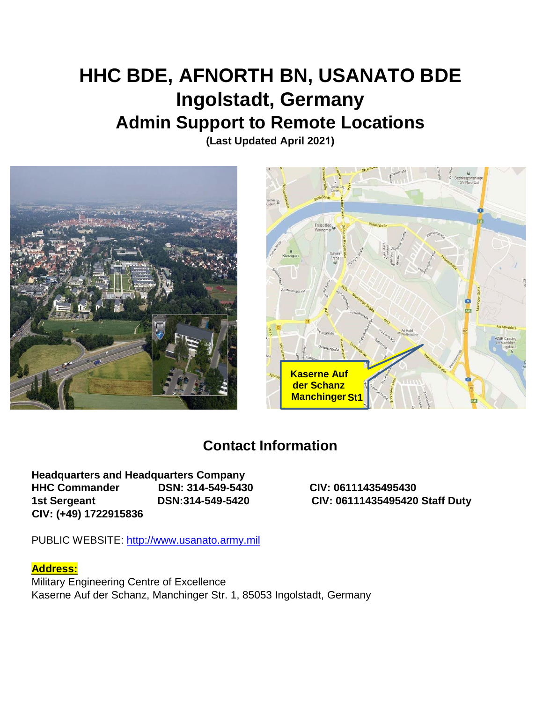# **HHC BDE, AFNORTH BN, USANATO BDE Ingolstadt, Germany Admin Support to Remote Locations**

**(Last Updated April 2021)**





# **Contact Information**

**Headquarters and Headquarters Company HHC Commander DSN: 314-549-5430 CIV: 06111435495430 1st Sergeant DSN:314-549-5420 CIV: 06111435495420 Staff Duty CIV: (+49) 1722915836** 

PUBLIC WEBSITE: [http://www.usanato.army.mil](http://www.usanato.army.mil/)

# **Address:**

Military Engineering Centre of Excellence Kaserne Auf der Schanz, Manchinger Str. 1, 85053 Ingolstadt, Germany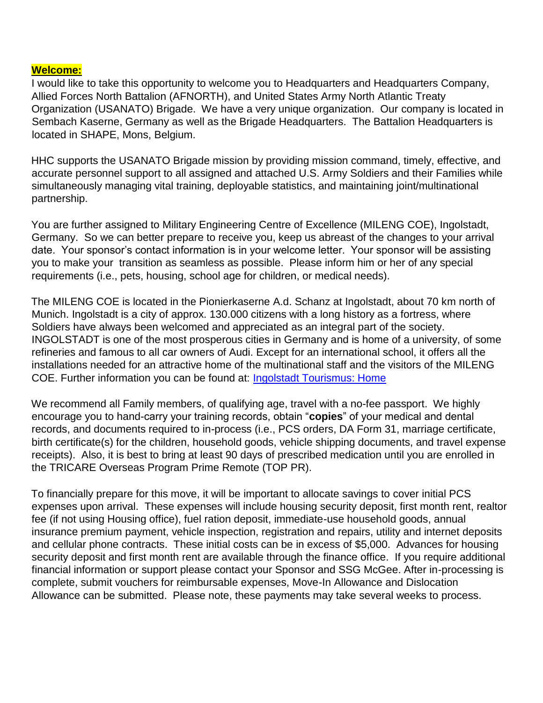#### **Welcome:**

I would like to take this opportunity to welcome you to Headquarters and Headquarters Company, Allied Forces North Battalion (AFNORTH), and United States Army North Atlantic Treaty Organization (USANATO) Brigade. We have a very unique organization. Our company is located in Sembach Kaserne, Germany as well as the Brigade Headquarters. The Battalion Headquarters is located in SHAPE, Mons, Belgium.

HHC supports the USANATO Brigade mission by providing mission command, timely, effective, and accurate personnel support to all assigned and attached U.S. Army Soldiers and their Families while simultaneously managing vital training, deployable statistics, and maintaining joint/multinational partnership.

You are further assigned to Military Engineering Centre of Excellence (MILENG COE), Ingolstadt, Germany. So we can better prepare to receive you, keep us abreast of the changes to your arrival date. Your sponsor's contact information is in your welcome letter. Your sponsor will be assisting you to make your transition as seamless as possible. Please inform him or her of any special requirements (i.e., pets, housing, school age for children, or medical needs).

The MILENG COE is located in the Pionierkaserne A.d. Schanz at Ingolstadt, about 70 km north of Munich. Ingolstadt is a city of approx. 130.000 citizens with a long history as a fortress, where Soldiers have always been welcomed and appreciated as an integral part of the society. INGOLSTADT is one of the most prosperous cities in Germany and is home of a university, of some refineries and famous to all car owners of Audi. Except for an international school, it offers all the installations needed for an attractive home of the multinational staff and the visitors of the MILENG COE. Further information you can be found at: [Ingolstadt Tourismus: Home](http://www.ingolstadt-tourismus.de/en/home.html)

We recommend all Family members, of qualifying age, travel with a no-fee passport. We highly encourage you to hand-carry your training records, obtain "**copies**" of your medical and dental records, and documents required to in-process (i.e., PCS orders, DA Form 31, marriage certificate, birth certificate(s) for the children, household goods, vehicle shipping documents, and travel expense receipts). Also, it is best to bring at least 90 days of prescribed medication until you are enrolled in the TRICARE Overseas Program Prime Remote (TOP PR).

To financially prepare for this move, it will be important to allocate savings to cover initial PCS expenses upon arrival. These expenses will include housing security deposit, first month rent, realtor fee (if not using Housing office), fuel ration deposit, immediate-use household goods, annual insurance premium payment, vehicle inspection, registration and repairs, utility and internet deposits and cellular phone contracts. These initial costs can be in excess of \$5,000. Advances for housing security deposit and first month rent are available through the finance office. If you require additional financial information or support please contact your Sponsor and SSG McGee. After in-processing is complete, submit vouchers for reimbursable expenses, Move-In Allowance and Dislocation Allowance can be submitted. Please note, these payments may take several weeks to process.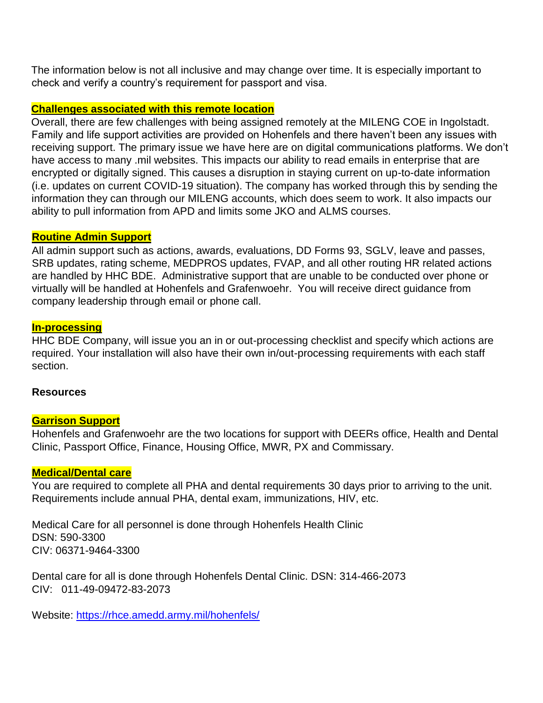The information below is not all inclusive and may change over time. It is especially important to check and verify a country's requirement for passport and visa.

# **Challenges associated with this remote location**

Overall, there are few challenges with being assigned remotely at the MILENG COE in Ingolstadt. Family and life support activities are provided on Hohenfels and there haven't been any issues with receiving support. The primary issue we have here are on digital communications platforms. We don't have access to many .mil websites. This impacts our ability to read emails in enterprise that are encrypted or digitally signed. This causes a disruption in staying current on up-to-date information (i.e. updates on current COVID-19 situation). The company has worked through this by sending the information they can through our MILENG accounts, which does seem to work. It also impacts our ability to pull information from APD and limits some JKO and ALMS courses.

# **Routine Admin Support**

All admin support such as actions, awards, evaluations, DD Forms 93, SGLV, leave and passes, SRB updates, rating scheme, MEDPROS updates, FVAP, and all other routing HR related actions are handled by HHC BDE. Administrative support that are unable to be conducted over phone or virtually will be handled at Hohenfels and Grafenwoehr. You will receive direct guidance from company leadership through email or phone call.

# **In-processing**

HHC BDE Company, will issue you an in or out-processing checklist and specify which actions are required. Your installation will also have their own in/out-processing requirements with each staff section.

# **Resources**

# **Garrison Support**

Hohenfels and Grafenwoehr are the two locations for support with DEERs office, Health and Dental Clinic, Passport Office, Finance, Housing Office, MWR, PX and Commissary.

# **Medical/Dental care**

You are required to complete all PHA and dental requirements 30 days prior to arriving to the unit. Requirements include annual PHA, dental exam, immunizations, HIV, etc.

Medical Care for all personnel is done through Hohenfels Health Clinic DSN: 590-3300 CIV: 06371-9464-3300

Dental care for all is done through Hohenfels Dental Clinic. DSN: 314-466-2073 CIV: 011-49-09472-83-2073

Website:<https://rhce.amedd.army.mil/hohenfels/>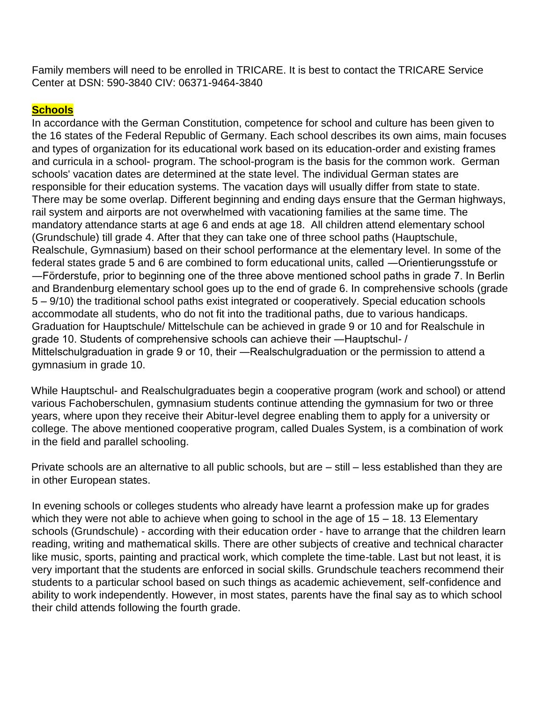Family members will need to be enrolled in TRICARE. It is best to contact the TRICARE Service Center at DSN: 590-3840 CIV: 06371-9464-3840

# **Schools**

In accordance with the German Constitution, competence for school and culture has been given to the 16 states of the Federal Republic of Germany. Each school describes its own aims, main focuses and types of organization for its educational work based on its education-order and existing frames and curricula in a school- program. The school-program is the basis for the common work. German schools' vacation dates are determined at the state level. The individual German states are responsible for their education systems. The vacation days will usually differ from state to state. There may be some overlap. Different beginning and ending days ensure that the German highways, rail system and airports are not overwhelmed with vacationing families at the same time. The mandatory attendance starts at age 6 and ends at age 18. All children attend elementary school (Grundschule) till grade 4. After that they can take one of three school paths (Hauptschule, Realschule, Gymnasium) based on their school performance at the elementary level. In some of the federal states grade 5 and 6 are combined to form educational units, called ―Orientierungsstufe or ―Förderstufe, prior to beginning one of the three above mentioned school paths in grade 7. In Berlin and Brandenburg elementary school goes up to the end of grade 6. In comprehensive schools (grade 5 – 9/10) the traditional school paths exist integrated or cooperatively. Special education schools accommodate all students, who do not fit into the traditional paths, due to various handicaps. Graduation for Hauptschule/ Mittelschule can be achieved in grade 9 or 10 and for Realschule in grade 10. Students of comprehensive schools can achieve their ―Hauptschul- / Mittelschulgraduation in grade 9 or 10, their ―Realschulgraduation or the permission to attend a gymnasium in grade 10.

While Hauptschul- and Realschulgraduates begin a cooperative program (work and school) or attend various Fachoberschulen, gymnasium students continue attending the gymnasium for two or three years, where upon they receive their Abitur-level degree enabling them to apply for a university or college. The above mentioned cooperative program, called Duales System, is a combination of work in the field and parallel schooling.

Private schools are an alternative to all public schools, but are – still – less established than they are in other European states.

In evening schools or colleges students who already have learnt a profession make up for grades which they were not able to achieve when going to school in the age of  $15 - 18$ . 13 Elementary schools (Grundschule) - according with their education order - have to arrange that the children learn reading, writing and mathematical skills. There are other subjects of creative and technical character like music, sports, painting and practical work, which complete the time-table. Last but not least, it is very important that the students are enforced in social skills. Grundschule teachers recommend their students to a particular school based on such things as academic achievement, self-confidence and ability to work independently. However, in most states, parents have the final say as to which school their child attends following the fourth grade.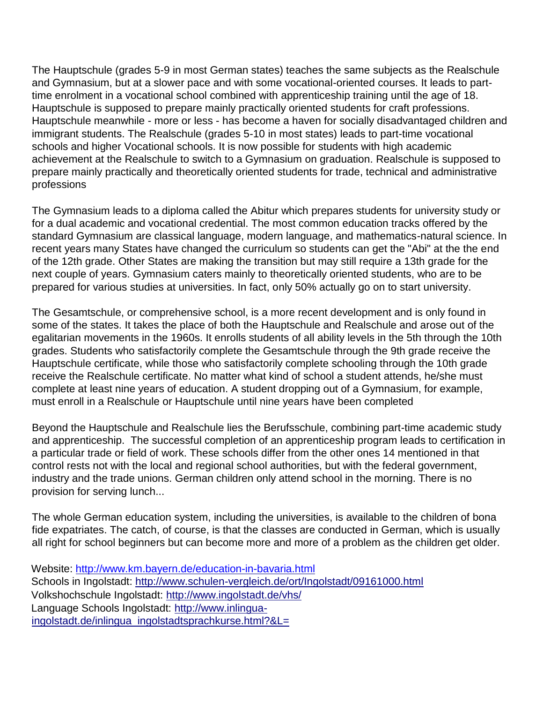The Hauptschule (grades 5-9 in most German states) teaches the same subjects as the Realschule and Gymnasium, but at a slower pace and with some vocational-oriented courses. It leads to parttime enrolment in a vocational school combined with apprenticeship training until the age of 18. Hauptschule is supposed to prepare mainly practically oriented students for craft professions. Hauptschule meanwhile - more or less - has become a haven for socially disadvantaged children and immigrant students. The Realschule (grades 5-10 in most states) leads to part-time vocational schools and higher Vocational schools. It is now possible for students with high academic achievement at the Realschule to switch to a Gymnasium on graduation. Realschule is supposed to prepare mainly practically and theoretically oriented students for trade, technical and administrative professions

The Gymnasium leads to a diploma called the Abitur which prepares students for university study or for a dual academic and vocational credential. The most common education tracks offered by the standard Gymnasium are classical language, modern language, and mathematics-natural science. In recent years many States have changed the curriculum so students can get the "Abi" at the the end of the 12th grade. Other States are making the transition but may still require a 13th grade for the next couple of years. Gymnasium caters mainly to theoretically oriented students, who are to be prepared for various studies at universities. In fact, only 50% actually go on to start university.

The Gesamtschule, or comprehensive school, is a more recent development and is only found in some of the states. It takes the place of both the Hauptschule and Realschule and arose out of the egalitarian movements in the 1960s. It enrolls students of all ability levels in the 5th through the 10th grades. Students who satisfactorily complete the Gesamtschule through the 9th grade receive the Hauptschule certificate, while those who satisfactorily complete schooling through the 10th grade receive the Realschule certificate. No matter what kind of school a student attends, he/she must complete at least nine years of education. A student dropping out of a Gymnasium, for example, must enroll in a Realschule or Hauptschule until nine years have been completed

Beyond the Hauptschule and Realschule lies the Berufsschule, combining part-time academic study and apprenticeship. The successful completion of an apprenticeship program leads to certification in a particular trade or field of work. These schools differ from the other ones 14 mentioned in that control rests not with the local and regional school authorities, but with the federal government, industry and the trade unions. German children only attend school in the morning. There is no provision for serving lunch...

The whole German education system, including the universities, is available to the children of bona fide expatriates. The catch, of course, is that the classes are conducted in German, which is usually all right for school beginners but can become more and more of a problem as the children get older.

```
Website: http://www.km.bayern.de/education-in-bavaria.html
Schools in Ingolstadt: http://www.schulen-vergleich.de/ort/Ingolstadt/09161000.html
Volkshochschule Ingolstadt: http://www.ingolstadt.de/vhs/
Language Schools Ingolstadt: http://www.inlingua-
ingolstadt.de/inlingua_ingolstadtsprachkurse.html?&L=
```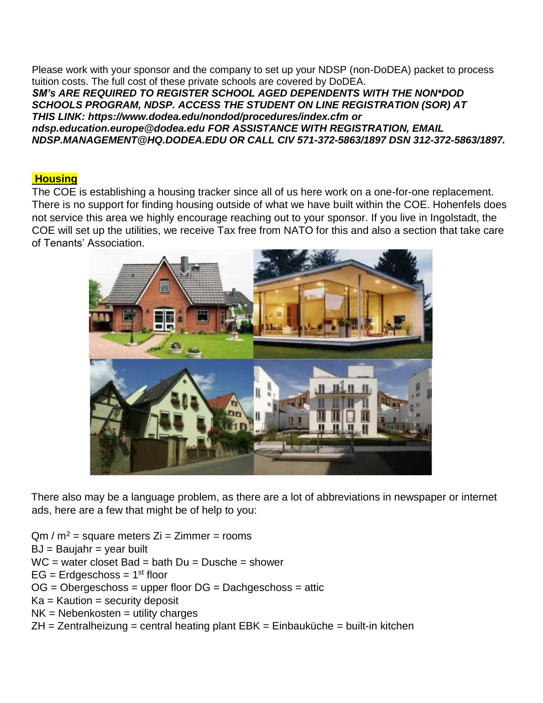Please work with your sponsor and the company to set up your NDSP (non-DoDEA) packet to process tuition costs. The full cost of these private schools are covered by DoDEA. *SM's ARE REQUIRED TO REGISTER SCHOOL AGED DEPENDENTS WITH THE NON\*DOD SCHOOLS PROGRAM, NDSP. ACCESS THE STUDENT ON LINE REGISTRATION (SOR) AT THIS LINK: https://www.dodea.edu/nondod/procedures/index.cfm or [ndsp.education.europe@dodea.edu](mailto:NDSP.Education.Europe@dodea.edu) FOR ASSISTANCE WITH REGISTRATION, EMAIL NDSP.MANAGEMENT@HQ.DODEA.EDU OR CALL CIV 571-372-5863/1897 DSN 312-372-5863/1897.*

# **Housing**

The COE is establishing a housing tracker since all of us here work on a one-for-one replacement. There is no support for finding housing outside of what we have built within the COE. Hohenfels does not service this area we highly encourage reaching out to your sponsor. If you live in Ingolstadt, the COE will set up the utilities, we receive Tax free from NATO for this and also a section that take care of Tenants' Association.



There also may be a language problem, as there are a lot of abbreviations in newspaper or internet ads, here are a few that might be of help to you:

 $Qm / m^2$  = square meters  $Zi$  = Zimmer = rooms  $BJ =$  Baujahr = year built  $WC = water$  closet Bad = bath  $Du = Dusche = shower$  $EG = Erdgeschoss = 1<sup>st</sup> floor$ OG = Obergeschoss = upper floor DG = Dachgeschoss = attic

- $Ka =$  Kaution = security deposit
- $NK = Nebenkosten = utility charges$
- $ZH = Zentralheizung = central heating plant EBK = Einbauküche = built-in kitchen$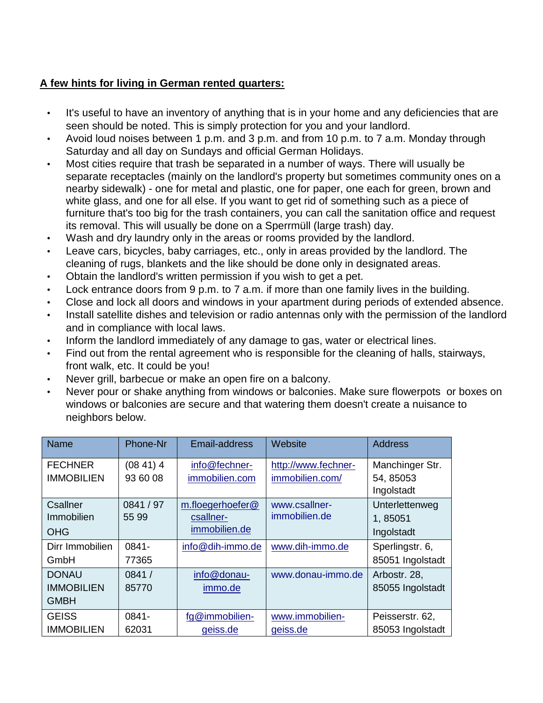# **A few hints for living in German rented quarters:**

- It's useful to have an inventory of anything that is in your home and any deficiencies that are seen should be noted. This is simply protection for you and your landlord.
- Avoid loud noises between 1 p.m. and 3 p.m. and from 10 p.m. to 7 a.m. Monday through Saturday and all day on Sundays and official German Holidays.
- Most cities require that trash be separated in a number of ways. There will usually be separate receptacles (mainly on the landlord's property but sometimes community ones on a nearby sidewalk) - one for metal and plastic, one for paper, one each for green, brown and white glass, and one for all else. If you want to get rid of something such as a piece of furniture that's too big for the trash containers, you can call the sanitation office and request its removal. This will usually be done on a Sperrmüll (large trash) day.
- Wash and dry laundry only in the areas or rooms provided by the landlord.
- Leave cars, bicycles, baby carriages, etc., only in areas provided by the landlord. The cleaning of rugs, blankets and the like should be done only in designated areas.
- Obtain the landlord's written permission if you wish to get a pet.
- Lock entrance doors from 9 p.m. to 7 a.m. if more than one family lives in the building.
- Close and lock all doors and windows in your apartment during periods of extended absence.
- Install satellite dishes and television or radio antennas only with the permission of the landlord and in compliance with local laws.
- Inform the landlord immediately of any damage to gas, water or electrical lines.
- Find out from the rental agreement who is responsible for the cleaning of halls, stairways, front walk, etc. It could be you!
- Never grill, barbecue or make an open fire on a balcony.
- Never pour or shake anything from windows or balconies. Make sure flowerpots or boxes on windows or balconies are secure and that watering them doesn't create a nuisance to neighbors below.

| Name              | Phone-Nr  | Email-address    | Website             | <b>Address</b>   |
|-------------------|-----------|------------------|---------------------|------------------|
| <b>FECHNER</b>    | (0841)4   | info@fechner-    | http://www.fechner- | Manchinger Str.  |
| <b>IMMOBILIEN</b> | 93 60 08  | immobilien.com   | immobilien.com/     | 54, 85053        |
|                   |           |                  |                     | Ingolstadt       |
| Csallner          | 0841 / 97 | m.floegerhoefer@ | www.csallner-       | Unterlettenweg   |
| Immobilien        | 55 99     | csallner-        | immobilien.de       | 1,85051          |
| <b>OHG</b>        |           | immobilien.de    |                     | Ingolstadt       |
| Dirr Immobilien   | 0841-     | info@dih-immo.de | www.dih-immo.de     | Sperlingstr. 6,  |
| GmbH              | 77365     |                  |                     | 85051 Ingolstadt |
| <b>DONAU</b>      | 0841 /    | info@donau-      | www.donau-immo.de   | Arbostr. 28,     |
| <b>IMMOBILIEN</b> | 85770     | immo.de          |                     | 85055 Ingolstadt |
| <b>GMBH</b>       |           |                  |                     |                  |
| <b>GEISS</b>      | 0841-     | fg@immobilien-   | www.immobilien-     | Peisserstr. 62,  |
| <b>IMMOBILIEN</b> | 62031     | geiss.de         | geiss.de            | 85053 Ingolstadt |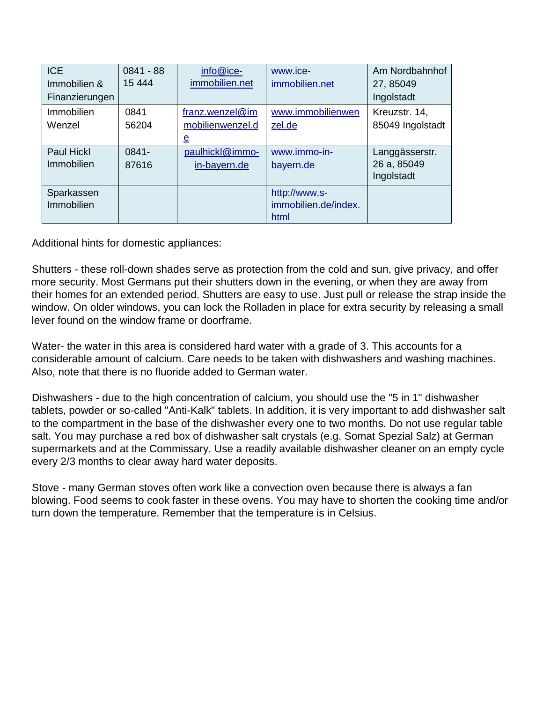| <b>ICE</b>        | $0841 - 88$ | info@ice-             | www.ice-             | Am Nordbahnhof   |
|-------------------|-------------|-----------------------|----------------------|------------------|
| Immobilien &      | 15 4 44     | immobilien.net        | immobilien.net       | 27, 85049        |
| Finanzierungen    |             |                       |                      | Ingolstadt       |
| Immobilien        | 0841        | $franz.$ wenzel $@im$ | www.immobilienwen    | Kreuzstr. 14,    |
| Wenzel            | 56204       | mobilienwenzel.d      | zel.de               | 85049 Ingolstadt |
|                   |             | $\mathbf{e}$          |                      |                  |
| <b>Paul Hickl</b> | 0841-       | paulhickl@immo-       | www.immo-in-         | Langgässerstr.   |
| Immobilien        | 87616       | in-bayern.de          | bayern.de            | 26 a, 85049      |
|                   |             |                       |                      | Ingolstadt       |
| Sparkassen        |             |                       | http://www.s-        |                  |
| Immobilien        |             |                       | immobilien.de/index. |                  |
|                   |             |                       | html                 |                  |

Additional hints for domestic appliances:

Shutters - these roll-down shades serve as protection from the cold and sun, give privacy, and offer more security. Most Germans put their shutters down in the evening, or when they are away from their homes for an extended period. Shutters are easy to use. Just pull or release the strap inside the window. On older windows, you can lock the Rolladen in place for extra security by releasing a small lever found on the window frame or doorframe.

Water- the water in this area is considered hard water with a grade of 3. This accounts for a considerable amount of calcium. Care needs to be taken with dishwashers and washing machines. Also, note that there is no fluoride added to German water.

Dishwashers - due to the high concentration of calcium, you should use the "5 in 1" dishwasher tablets, powder or so-called "Anti-Kalk" tablets. In addition, it is very important to add dishwasher salt to the compartment in the base of the dishwasher every one to two months. Do not use regular table salt. You may purchase a red box of dishwasher salt crystals (e.g. Somat Spezial Salz) at German supermarkets and at the Commissary. Use a readily available dishwasher cleaner on an empty cycle every 2/3 months to clear away hard water deposits.

Stove - many German stoves often work like a convection oven because there is always a fan blowing. Food seems to cook faster in these ovens. You may have to shorten the cooking time and/or turn down the temperature. Remember that the temperature is in Celsius.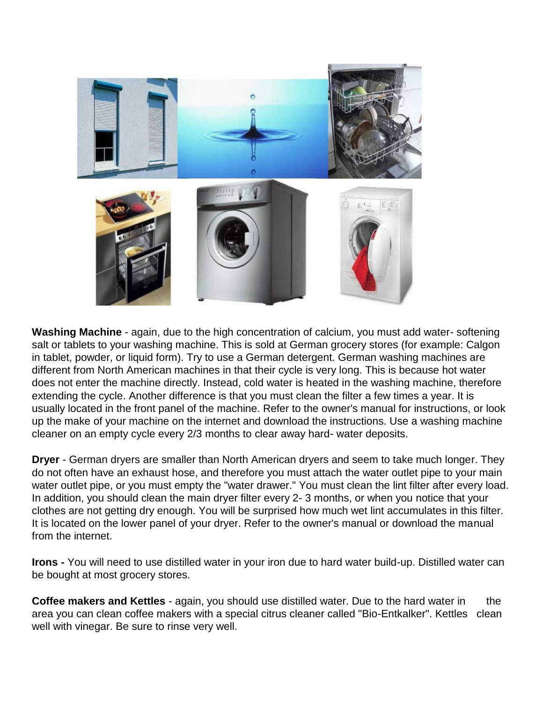

**Washing Machine** - again, due to the high concentration of calcium, you must add water- softening salt or tablets to your washing machine. This is sold at German grocery stores (for example: Calgon in tablet, powder, or liquid form). Try to use a German detergent. German washing machines are different from North American machines in that their cycle is very long. This is because hot water does not enter the machine directly. Instead, cold water is heated in the washing machine, therefore extending the cycle. Another difference is that you must clean the filter a few times a year. It is usually located in the front panel of the machine. Refer to the owner's manual for instructions, or look up the make of your machine on the internet and download the instructions. Use a washing machine cleaner on an empty cycle every 2/3 months to clear away hard- water deposits.

**Dryer** - German dryers are smaller than North American dryers and seem to take much longer. They do not often have an exhaust hose, and therefore you must attach the water outlet pipe to your main water outlet pipe, or you must empty the "water drawer." You must clean the lint filter after every load. In addition, you should clean the main dryer filter every 2- 3 months, or when you notice that your clothes are not getting dry enough. You will be surprised how much wet lint accumulates in this filter. It is located on the lower panel of your dryer. Refer to the owner's manual or download the manual from the internet.

**Irons -** You will need to use distilled water in your iron due to hard water build-up. Distilled water can be bought at most grocery stores.

**Coffee makers and Kettles** - again, you should use distilled water. Due to the hard water in the area you can clean coffee makers with a special citrus cleaner called "Bio-Entkalker". Kettles clean well with vinegar. Be sure to rinse very well.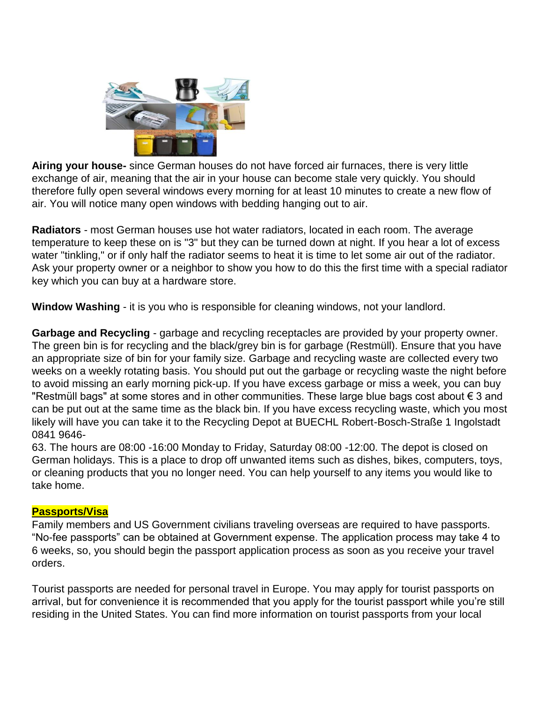

**Airing your house-** since German houses do not have forced air furnaces, there is very little exchange of air, meaning that the air in your house can become stale very quickly. You should therefore fully open several windows every morning for at least 10 minutes to create a new flow of air. You will notice many open windows with bedding hanging out to air.

**Radiators** - most German houses use hot water radiators, located in each room. The average temperature to keep these on is "3" but they can be turned down at night. If you hear a lot of excess water "tinkling," or if only half the radiator seems to heat it is time to let some air out of the radiator. Ask your property owner or a neighbor to show you how to do this the first time with a special radiator key which you can buy at a hardware store.

**Window Washing** - it is you who is responsible for cleaning windows, not your landlord.

**Garbage and Recycling** - garbage and recycling receptacles are provided by your property owner. The green bin is for recycling and the black/grey bin is for garbage (Restmüll). Ensure that you have an appropriate size of bin for your family size. Garbage and recycling waste are collected every two weeks on a weekly rotating basis. You should put out the garbage or recycling waste the night before to avoid missing an early morning pick-up. If you have excess garbage or miss a week, you can buy "Restmüll bags" at some stores and in other communities. These large blue bags cost about € 3 and can be put out at the same time as the black bin. If you have excess recycling waste, which you most likely will have you can take it to the Recycling Depot at BUECHL Robert-Bosch-Straße 1 Ingolstadt 0841 9646-

63. The hours are 08:00 -16:00 Monday to Friday, Saturday 08:00 -12:00. The depot is closed on German holidays. This is a place to drop off unwanted items such as dishes, bikes, computers, toys, or cleaning products that you no longer need. You can help yourself to any items you would like to take home.

# **Passports/Visa**

Family members and US Government civilians traveling overseas are required to have passports. "No-fee passports" can be obtained at Government expense. The application process may take 4 to 6 weeks, so, you should begin the passport application process as soon as you receive your travel orders.

Tourist passports are needed for personal travel in Europe. You may apply for tourist passports on arrival, but for convenience it is recommended that you apply for the tourist passport while you're still residing in the United States. You can find more information on tourist passports from your local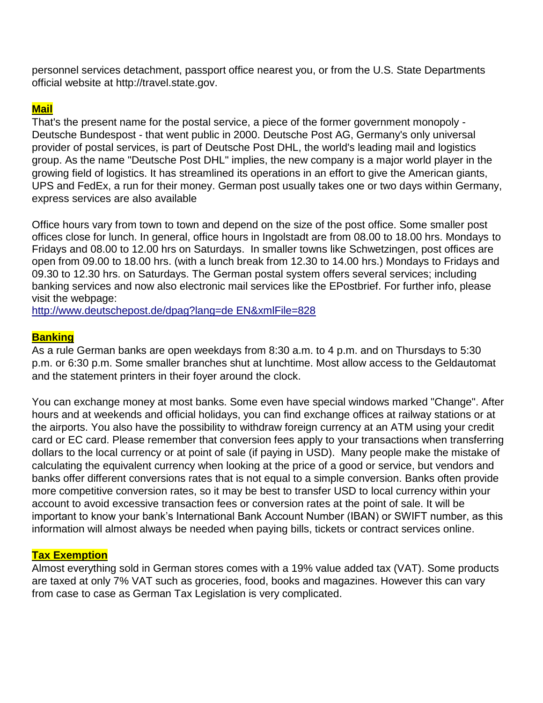personnel services detachment, passport office nearest you, or from the U.S. State Departments official website at [http://travel.state.gov.](http://travel.state.gov/) 

# **Mail**

That's the present name for the postal service, a piece of the former government monopoly - Deutsche Bundespost - that went public in 2000. Deutsche Post AG, Germany's only universal provider of postal services, is part of Deutsche Post DHL, the world's leading mail and logistics group. As the name "Deutsche Post DHL" implies, the new company is a major world player in the growing field of logistics. It has streamlined its operations in an effort to give the American giants, UPS and FedEx, a run for their money. German post usually takes one or two days within Germany, express services are also available

Office hours vary from town to town and depend on the size of the post office. Some smaller post offices close for lunch. In general, office hours in Ingolstadt are from 08.00 to 18.00 hrs. Mondays to Fridays and 08.00 to 12.00 hrs on Saturdays. In smaller towns like Schwetzingen, post offices are open from 09.00 to 18.00 hrs. (with a lunch break from 12.30 to 14.00 hrs.) Mondays to Fridays and 09.30 to 12.30 hrs. on Saturdays. The German postal system offers several services; including banking services and now also electronic mail services like the EPostbrief. For further info, please visit the webpage:

[http://www.deutschepost.de/dpag?lang=de EN&xmlFile=828](http://www.deutschepost.de/dpag?lang=de_EN&amp%3BxmlFile=828)

# **Banking**

As a rule German banks are open weekdays from 8:30 a.m. to 4 p.m. and on Thursdays to 5:30 p.m. or 6:30 p.m. Some smaller branches shut at lunchtime. Most allow access to the Geldautomat and the statement printers in their foyer around the clock.

You can exchange money at most banks. Some even have special windows marked "Change". After hours and at weekends and official holidays, you can find exchange offices at railway stations or at the airports. You also have the possibility to withdraw foreign currency at an ATM using your credit card or EC card. Please remember that conversion fees apply to your transactions when transferring dollars to the local currency or at point of sale (if paying in USD). Many people make the mistake of calculating the equivalent currency when looking at the price of a good or service, but vendors and banks offer different conversions rates that is not equal to a simple conversion. Banks often provide more competitive conversion rates, so it may be best to transfer USD to local currency within your account to avoid excessive transaction fees or conversion rates at the point of sale. It will be important to know your bank's International Bank Account Number (IBAN) or SWIFT number, as this information will almost always be needed when paying bills, tickets or contract services online.

# **Tax Exemption**

Almost everything sold in German stores comes with a 19% value added tax (VAT). Some products are taxed at only 7% VAT such as groceries, food, books and magazines. However this can vary from case to case as German Tax Legislation is very complicated.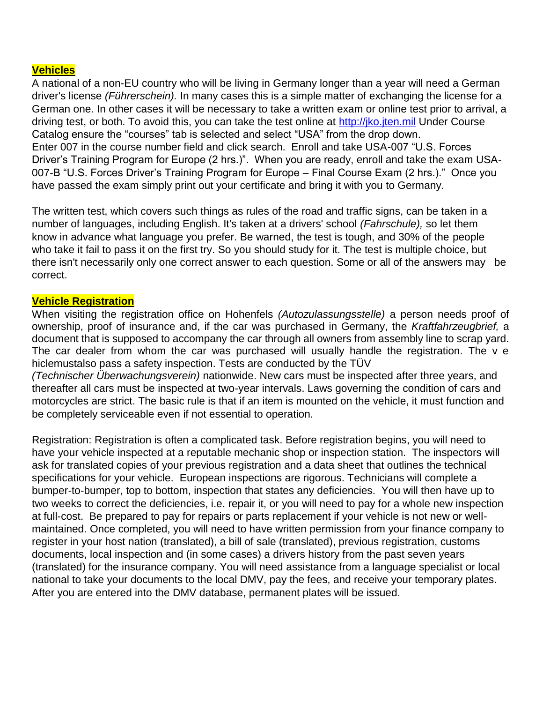# **Vehicles**

A national of a non-EU country who will be living in Germany longer than a year will need a German driver's license *(Führerschein).* In many cases this is a simple matter of exchanging the license for a German one. In other cases it will be necessary to take a written exam or online test prior to arrival, a driving test, or both. To avoid this, you can take the test online at [http://jko.jten.mil](http://jko.jten.mil/) Under Course Catalog ensure the "courses" tab is selected and select "USA" from the drop down. Enter 007 in the course number field and click search. Enroll and take USA-007 "U.S. Forces Driver's Training Program for Europe (2 hrs.)". When you are ready, enroll and take the exam USA-007-B "U.S. Forces Driver's Training Program for Europe – Final Course Exam (2 hrs.)." Once you have passed the exam simply print out your certificate and bring it with you to Germany.

The written test, which covers such things as rules of the road and traffic signs, can be taken in a number of languages, including English. It's taken at a drivers' school *(Fahrschule),* so let them know in advance what language you prefer. Be warned, the test is tough, and 30% of the people who take it fail to pass it on the first try. So you should study for it. The test is multiple choice, but there isn't necessarily only one correct answer to each question. Some or all of the answers may be correct.

# **Vehicle Registration**

When visiting the registration office on Hohenfels *(Autozulassungsstelle)* a person needs proof of ownership, proof of insurance and, if the car was purchased in Germany, the *Kraftfahrzeugbrief,* a document that is supposed to accompany the car through all owners from assembly line to scrap yard. The car dealer from whom the car was purchased will usually handle the registration. The v e hiclemustalso pass a safety inspection. Tests are conducted by the TÜV *(Technischer Überwachungsverein)* nationwide. New cars must be inspected after three years, and

thereafter all cars must be inspected at two-year intervals. Laws governing the condition of cars and motorcycles are strict. The basic rule is that if an item is mounted on the vehicle, it must function and be completely serviceable even if not essential to operation.

Registration: Registration is often a complicated task. Before registration begins, you will need to have your vehicle inspected at a reputable mechanic shop or inspection station. The inspectors will ask for translated copies of your previous registration and a data sheet that outlines the technical specifications for your vehicle. European inspections are rigorous. Technicians will complete a bumper-to-bumper, top to bottom, inspection that states any deficiencies. You will then have up to two weeks to correct the deficiencies, i.e. repair it, or you will need to pay for a whole new inspection at full-cost. Be prepared to pay for repairs or parts replacement if your vehicle is not new or wellmaintained. Once completed, you will need to have written permission from your finance company to register in your host nation (translated), a bill of sale (translated), previous registration, customs documents, local inspection and (in some cases) a drivers history from the past seven years (translated) for the insurance company. You will need assistance from a language specialist or local national to take your documents to the local DMV, pay the fees, and receive your temporary plates. After you are entered into the DMV database, permanent plates will be issued.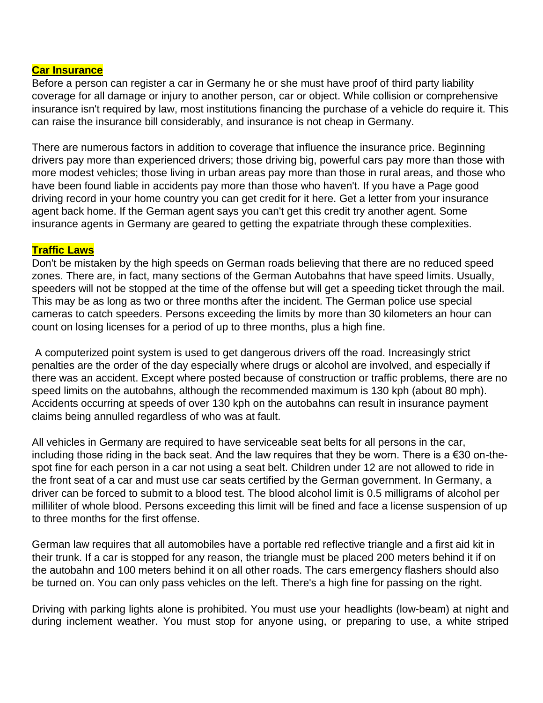## **Car Insurance**

Before a person can register a car in Germany he or she must have proof of third party liability coverage for all damage or injury to another person, car or object. While collision or comprehensive insurance isn't required by law, most institutions financing the purchase of a vehicle do require it. This can raise the insurance bill considerably, and insurance is not cheap in Germany.

There are numerous factors in addition to coverage that influence the insurance price. Beginning drivers pay more than experienced drivers; those driving big, powerful cars pay more than those with more modest vehicles; those living in urban areas pay more than those in rural areas, and those who have been found liable in accidents pay more than those who haven't. If you have a Page good driving record in your home country you can get credit for it here. Get a letter from your insurance agent back home. If the German agent says you can't get this credit try another agent. Some insurance agents in Germany are geared to getting the expatriate through these complexities.

#### **Traffic Laws**

Don't be mistaken by the high speeds on German roads believing that there are no reduced speed zones. There are, in fact, many sections of the German Autobahns that have speed limits. Usually, speeders will not be stopped at the time of the offense but will get a speeding ticket through the mail. This may be as long as two or three months after the incident. The German police use special cameras to catch speeders. Persons exceeding the limits by more than 30 kilometers an hour can count on losing licenses for a period of up to three months, plus a high fine.

A computerized point system is used to get dangerous drivers off the road. Increasingly strict penalties are the order of the day especially where drugs or alcohol are involved, and especially if there was an accident. Except where posted because of construction or traffic problems, there are no speed limits on the autobahns, although the recommended maximum is 130 kph (about 80 mph). Accidents occurring at speeds of over 130 kph on the autobahns can result in insurance payment claims being annulled regardless of who was at fault.

All vehicles in Germany are required to have serviceable seat belts for all persons in the car, including those riding in the back seat. And the law requires that they be worn. There is a €30 on-thespot fine for each person in a car not using a seat belt. Children under 12 are not allowed to ride in the front seat of a car and must use car seats certified by the German government. In Germany, a driver can be forced to submit to a blood test. The blood alcohol limit is 0.5 milligrams of alcohol per milliliter of whole blood. Persons exceeding this limit will be fined and face a license suspension of up to three months for the first offense.

German law requires that all automobiles have a portable red reflective triangle and a first aid kit in their trunk. If a car is stopped for any reason, the triangle must be placed 200 meters behind it if on the autobahn and 100 meters behind it on all other roads. The cars emergency flashers should also be turned on. You can only pass vehicles on the left. There's a high fine for passing on the right.

Driving with parking lights alone is prohibited. You must use your headlights (low-beam) at night and during inclement weather. You must stop for anyone using, or preparing to use, a white striped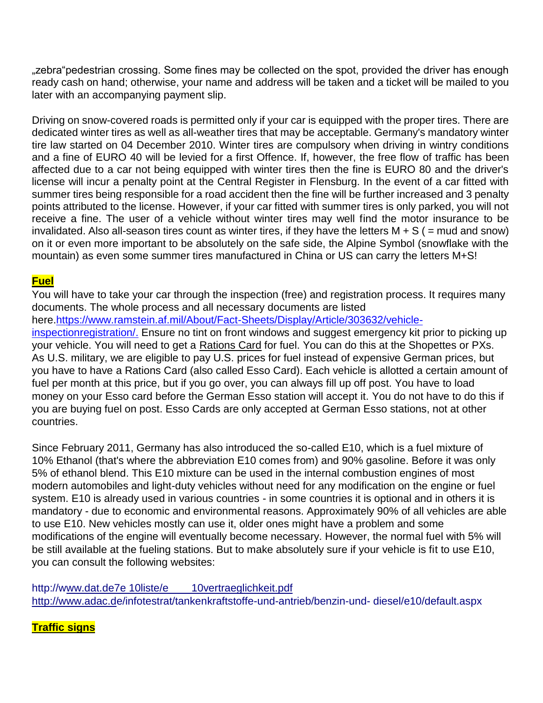"zebra"pedestrian crossing. Some fines may be collected on the spot, provided the driver has enough ready cash on hand; otherwise, your name and address will be taken and a ticket will be mailed to you later with an accompanying payment slip.

Driving on snow-covered roads is permitted only if your car is equipped with the proper tires. There are dedicated winter tires as well as all-weather tires that may be acceptable. Germany's mandatory winter tire law started on 04 December 2010. Winter tires are compulsory when driving in wintry conditions and a fine of EURO 40 will be levied for a first Offence. If, however, the free flow of traffic has been affected due to a car not being equipped with winter tires then the fine is EURO 80 and the driver's license will incur a penalty point at the Central Register in Flensburg. In the event of a car fitted with summer tires being responsible for a road accident then the fine will be further increased and 3 penalty points attributed to the license. However, if your car fitted with summer tires is only parked, you will not receive a fine. The user of a vehicle without winter tires may well find the motor insurance to be invalidated. Also all-season tires count as winter tires, if they have the letters  $M + S$  (= mud and snow) on it or even more important to be absolutely on the safe side, the Alpine Symbol (snowflake with the mountain) as even some summer tires manufactured in China or US can carry the letters M+S!

# **Fuel**

You will have to take your car through the inspection (free) and registration process. It requires many documents. The whole process and all necessary documents are listed here[.https://www.ramstein.af.mil/About/Fact-Sheets/Display/Article/303632/vehicle](https://www.ramstein.af.mil/About/Fact-Sheets/Display/Article/303632/vehicle-inspection-registration/)[inspectionregistration/.](https://www.ramstein.af.mil/About/Fact-Sheets/Display/Article/303632/vehicle-inspection-registration/) Ensure no tint on front windows and suggest emergency kit prior to picking up your vehicle. You will need to get a Rations Card for fuel. You can do this at the Shopettes or PXs. As U.S. military, we are eligible to pay U.S. prices for fuel instead of expensive German prices, but you have to have a Rations Card (also called Esso Card). Each vehicle is allotted a certain amount of fuel per month at this price, but if you go over, you can always fill up off post. You have to load money on your Esso card before the German Esso station will accept it. You do not have to do this if you are buying fuel on post. Esso Cards are only accepted at German Esso stations, not at other countries.

Since February 2011, Germany has also introduced the so-called E10, which is a fuel mixture of 10% Ethanol (that's where the abbreviation E10 comes from) and 90% gasoline. Before it was only 5% of ethanol blend. This E10 mixture can be used in the internal combustion engines of most modern automobiles and light-duty vehicles without need for any modification on the engine or fuel system. E10 is already used in various countries - in some countries it is optional and in others it is mandatory - due to economic and environmental reasons. Approximately 90% of all vehicles are able to use E10. New vehicles mostly can use it, older ones might have a problem and some modifications of the engine will eventually become necessary. However, the normal fuel with 5% will be still available at the fueling stations. But to make absolutely sure if your vehicle is fit to use E10, you can consult the following websites:

[http://www.dat.de7e 10liste/e 10vertraeglichkeit.pdf](http://www.dat.de/e10liste/e10vertraeglichkeit.pdf)  [http://www.adac.de/infotestrat/tankenkraftstoffe-und-antrieb/benzin-und-](http://www.adac.de/infotestrat/tanken-kraftstoffe-und-antrieb/benzin-und-diesel/e10/default.aspx) [diesel/e10/default.aspx](http://www.adac.de/infotestrat/tanken-kraftstoffe-und-antrieb/benzin-und-diesel/e10/default.aspx)

# **Traffic signs**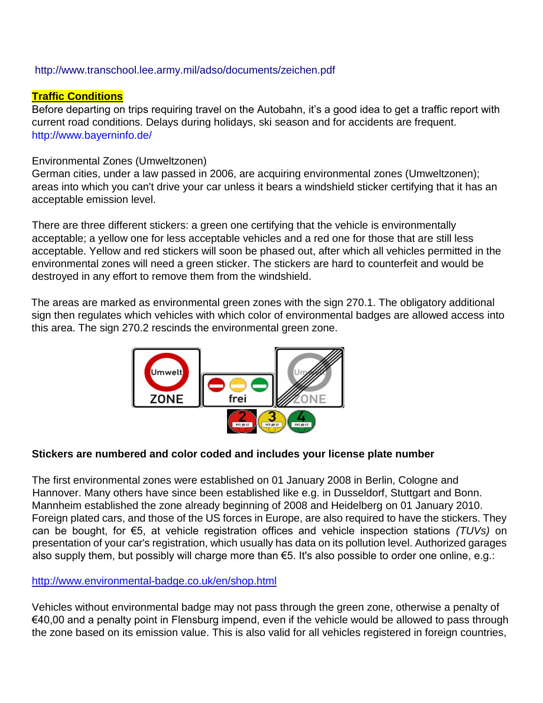# <http://www.transchool.lee.army.mil/adso/documents/zeichen.pdf>

# **Traffic Conditions**

Before departing on trips requiring travel on the Autobahn, it's a good idea to get a traffic report with current road conditions. Delays during holidays, ski season and for accidents are frequent. <http://www.bayerninfo.de/>

# Environmental Zones (Umweltzonen)

German cities, under a law passed in 2006, are acquiring environmental zones (Umweltzonen); areas into which you can't drive your car unless it bears a windshield sticker certifying that it has an acceptable emission level.

There are three different stickers: a green one certifying that the vehicle is environmentally acceptable; a yellow one for less acceptable vehicles and a red one for those that are still less acceptable. Yellow and red stickers will soon be phased out, after which all vehicles permitted in the environmental zones will need a green sticker. The stickers are hard to counterfeit and would be destroyed in any effort to remove them from the windshield.

The areas are marked as environmental green zones with the sign 270.1. The obligatory additional sign then regulates which vehicles with which color of environmental badges are allowed access into this area. The sign 270.2 rescinds the environmental green zone.



# **Stickers are numbered and color coded and includes your license plate number**

The first environmental zones were established on 01 January 2008 in Berlin, Cologne and Hannover. Many others have since been established like e.g. in Dusseldorf, Stuttgart and Bonn. Mannheim established the zone already beginning of 2008 and Heidelberg on 01 January 2010. Foreign plated cars, and those of the US forces in Europe, are also required to have the stickers. They can be bought, for €5, at vehicle registration offices and vehicle inspection stations *(TUVs)* on presentation of your car's registration, which usually has data on its pollution level. Authorized garages also supply them, but possibly will charge more than €5. It's also possible to order one online, e.g.:

# <http://www.environmental-badge.co.uk/en/shop.html>

Vehicles without environmental badge may not pass through the green zone, otherwise a penalty of €40,00 and a penalty point in Flensburg impend, even if the vehicle would be allowed to pass through the zone based on its emission value. This is also valid for all vehicles registered in foreign countries,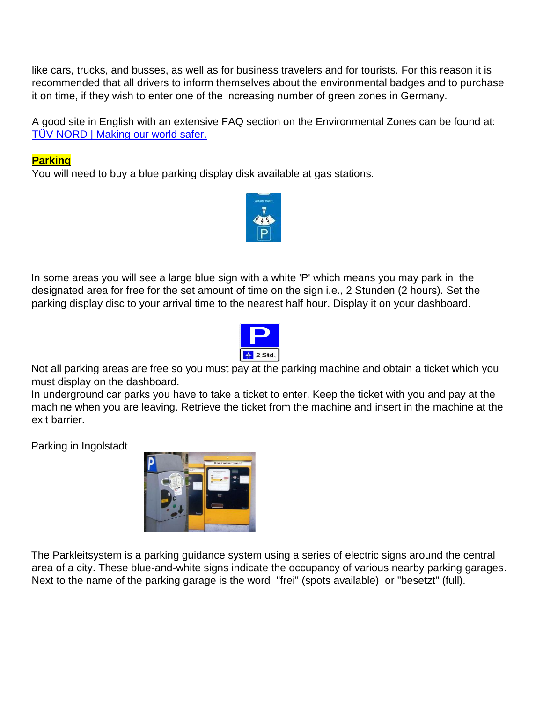like cars, trucks, and busses, as well as for business travelers and for tourists. For this reason it is recommended that all drivers to inform themselves about the environmental badges and to purchase it on time, if they wish to enter one of the increasing number of green zones in Germany.

A good site in English with an extensive FAQ section on the Environmental Zones can be found at: [TÜV NORD | Making our world safer.](http://www.tuv-nord.com/en/index.htm)

# **Parking**

You will need to buy a blue parking display disk available at gas stations.



In some areas you will see a large blue sign with a white 'P' which means you may park in the designated area for free for the set amount of time on the sign i.e., 2 Stunden (2 hours). Set the parking display disc to your arrival time to the nearest half hour. Display it on your dashboard.



Not all parking areas are free so you must pay at the parking machine and obtain a ticket which you must display on the dashboard.

In underground car parks you have to take a ticket to enter. Keep the ticket with you and pay at the machine when you are leaving. Retrieve the ticket from the machine and insert in the machine at the exit barrier.

Parking in Ingolstadt



The Parkleitsystem is a parking guidance system using a series of electric signs around the central area of a city. These blue-and-white signs indicate the occupancy of various nearby parking garages. Next to the name of the parking garage is the word "frei" (spots available) or "besetzt" (full).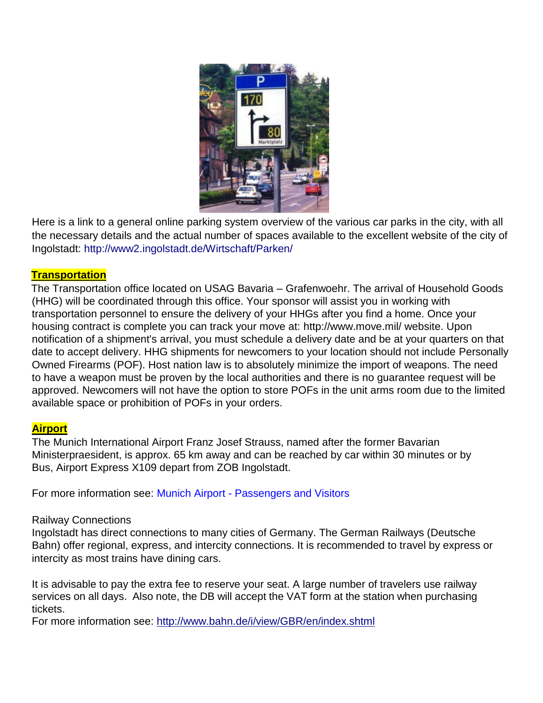

Here is a link to a general online parking system overview of the various car parks in the city, with all the necessary details and the actual number of spaces available to the excellent website of the city of Ingolstadt:<http://www2.ingolstadt.de/Wirtschaft/Parken/>

# **Transportation**

The Transportation office located on USAG Bavaria – Grafenwoehr. The arrival of Household Goods (HHG) will be coordinated through this office. Your sponsor will assist you in working with transportation personnel to ensure the delivery of your HHGs after you find a home. Once your housing contract is complete you can track your move at: [http://www.move.mil/ we](http://www.move.mil/)bsite. Upon notification of a shipment's arrival, you must schedule a delivery date and be at your quarters on that date to accept delivery. HHG shipments for newcomers to your location should not include Personally Owned Firearms (POF). Host nation law is to absolutely minimize the import of weapons. The need to have a weapon must be proven by the local authorities and there is no guarantee request will be approved. Newcomers will not have the option to store POFs in the unit arms room due to the limited available space or prohibition of POFs in your orders.

# **Airport**

The Munich International Airport Franz Josef Strauss, named after the former Bavarian Ministerpraesident, is approx. 65 km away and can be reached by car within 30 minutes or by Bus, Airport Express X109 depart from ZOB Ingolstadt.

For more information see: Munich Airport - [Passengers and Visitors](http://www.munich-airport.de/en/consumer/index.jsp)

# Railway Connections

Ingolstadt has direct connections to many cities of Germany. The German Railways (Deutsche Bahn) offer regional, express, and intercity connections. It is recommended to travel by express or intercity as most trains have dining cars.

It is advisable to pay the extra fee to reserve your seat. A large number of travelers use railway services on all days. Also note, the DB will accept the VAT form at the station when purchasing tickets.

For more information see:<http://www.bahn.de/i/view/GBR/en/index.shtml>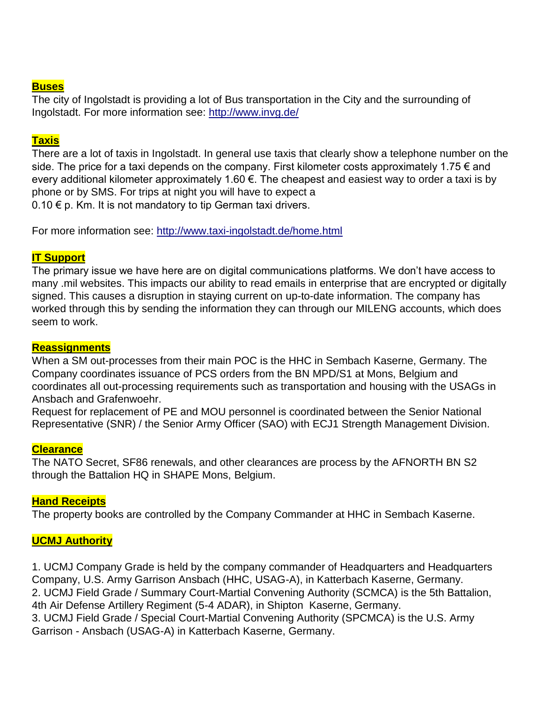# **Buses**

The city of Ingolstadt is providing a lot of Bus transportation in the City and the surrounding of Ingolstadt. For more information see:<http://www.invg.de/>

# **Taxis**

There are a lot of taxis in Ingolstadt. In general use taxis that clearly show a telephone number on the side. The price for a taxi depends on the company. First kilometer costs approximately 1.75  $\epsilon$  and every additional kilometer approximately 1.60 €. The cheapest and easiest way to order a taxi is by phone or by SMS. For trips at night you will have to expect a 0.10  $€$  p. Km. It is not mandatory to tip German taxi drivers.

For more information see:<http://www.taxi-ingolstadt.de/home.html>

# **IT Support**

The primary issue we have here are on digital communications platforms. We don't have access to many .mil websites. This impacts our ability to read emails in enterprise that are encrypted or digitally signed. This causes a disruption in staying current on up-to-date information. The company has worked through this by sending the information they can through our MILENG accounts, which does seem to work.

# **Reassignments**

When a SM out-processes from their main POC is the HHC in Sembach Kaserne, Germany. The Company coordinates issuance of PCS orders from the BN MPD/S1 at Mons, Belgium and coordinates all out-processing requirements such as transportation and housing with the USAGs in Ansbach and Grafenwoehr.

Request for replacement of PE and MOU personnel is coordinated between the Senior National Representative (SNR) / the Senior Army Officer (SAO) with ECJ1 Strength Management Division.

# **Clearance**

The NATO Secret, SF86 renewals, and other clearances are process by the AFNORTH BN S2 through the Battalion HQ in SHAPE Mons, Belgium.

# **Hand Receipts**

The property books are controlled by the Company Commander at HHC in Sembach Kaserne.

# **UCMJ Authority**

1. UCMJ Company Grade is held by the company commander of Headquarters and Headquarters Company, U.S. Army Garrison Ansbach (HHC, USAG-A), in Katterbach Kaserne, Germany. 2. UCMJ Field Grade / Summary Court-Martial Convening Authority (SCMCA) is the 5th Battalion, 4th Air Defense Artillery Regiment (5-4 ADAR), in Shipton Kaserne, Germany. 3. UCMJ Field Grade / Special Court-Martial Convening Authority (SPCMCA) is the U.S. Army Garrison - Ansbach (USAG-A) in Katterbach Kaserne, Germany.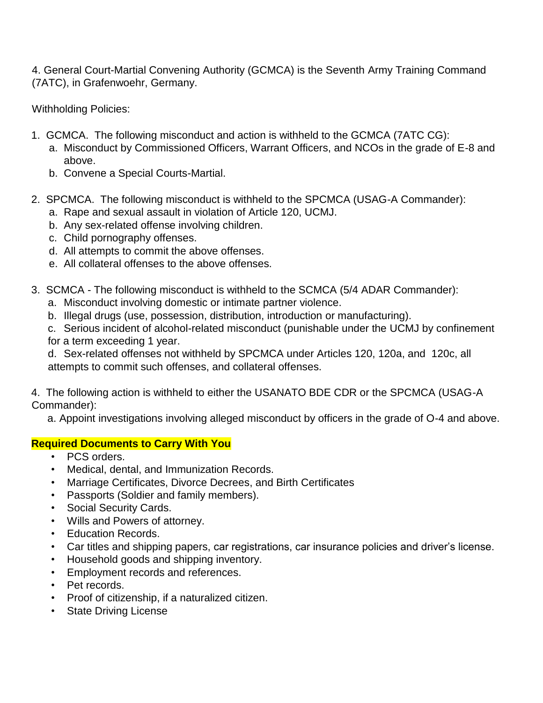4. General Court-Martial Convening Authority (GCMCA) is the Seventh Army Training Command (7ATC), in Grafenwoehr, Germany.

Withholding Policies:

- 1. GCMCA. The following misconduct and action is withheld to the GCMCA (7ATC CG):
	- a. Misconduct by Commissioned Officers, Warrant Officers, and NCOs in the grade of E-8 and above.
	- b. Convene a Special Courts-Martial.
- 2. SPCMCA. The following misconduct is withheld to the SPCMCA (USAG-A Commander):
	- a. Rape and sexual assault in violation of Article 120, UCMJ.
	- b. Any sex-related offense involving children.
	- c. Child pornography offenses.
	- d. All attempts to commit the above offenses.
	- e. All collateral offenses to the above offenses.
- 3. SCMCA The following misconduct is withheld to the SCMCA (5/4 ADAR Commander):
	- a. Misconduct involving domestic or intimate partner violence.
	- b. Illegal drugs (use, possession, distribution, introduction or manufacturing).
	- c. Serious incident of alcohol-related misconduct (punishable under the UCMJ by confinement for a term exceeding 1 year.

d. Sex-related offenses not withheld by SPCMCA under Articles 120, 120a, and 120c, all attempts to commit such offenses, and collateral offenses.

4. The following action is withheld to either the USANATO BDE CDR or the SPCMCA (USAG-A Commander):

a. Appoint investigations involving alleged misconduct by officers in the grade of O-4 and above.

# **Required Documents to Carry With You**

- PCS orders.
- Medical, dental, and Immunization Records.
- Marriage Certificates, Divorce Decrees, and Birth Certificates
- Passports (Soldier and family members).
- Social Security Cards.
- Wills and Powers of attorney.
- Education Records.
- Car titles and shipping papers, car registrations, car insurance policies and driver's license.
- Household goods and shipping inventory.
- Employment records and references.
- Pet records.
- Proof of citizenship, if a naturalized citizen.
- State Driving License